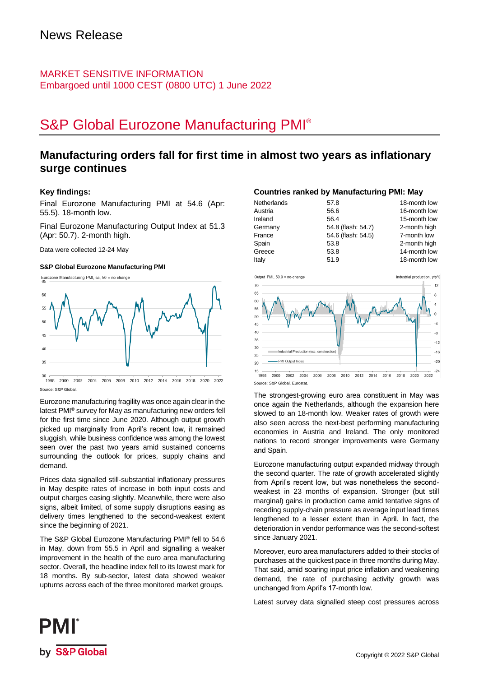### MARKET SENSITIVE INFORMATION Embargoed until 1000 CEST (0800 UTC) 1 June 2022

# S&P Global Eurozone Manufacturing PMI®

## **Manufacturing orders fall for first time in almost two years as inflationary surge continues**

### **Key findings:**

Final Eurozone Manufacturing PMI at 54.6 (Apr: 55.5). 18-month low.

Final Eurozone Manufacturing Output Index at 51.3 (Apr: 50.7). 2-month high.

Data were collected 12-24 May

### **S&P Global Eurozone Manufacturing PMI**

Eurozone Manufacturing PMI, sa, 50 = no change



1998 2000 2002 2004 2006 2008 2010 2012 2014 2016 2018 2020 2022 Source: S&P Global.

Eurozone manufacturing fragility was once again clear in the latest PMI® survey for May as manufacturing new orders fell for the first time since June 2020. Although output growth picked up marginally from April's recent low, it remained sluggish, while business confidence was among the lowest seen over the past two years amid sustained concerns surrounding the outlook for prices, supply chains and demand.

Prices data signalled still-substantial inflationary pressures in May despite rates of increase in both input costs and output charges easing slightly. Meanwhile, there were also signs, albeit limited, of some supply disruptions easing as delivery times lengthened to the second-weakest extent since the beginning of 2021.

The S&P Global Eurozone Manufacturing PMI® fell to 54.6 in May, down from 55.5 in April and signalling a weaker improvement in the health of the euro area manufacturing sector. Overall, the headline index fell to its lowest mark for 18 months. By sub-sector, latest data showed weaker upturns across each of the three monitored market groups.

### **Countries ranked by Manufacturing PMI: May**

| Netherlands | 57.8               | 18-month low |
|-------------|--------------------|--------------|
| Austria     | 56.6               | 16-month low |
| Ireland     | 56.4               | 15-month low |
| Germany     | 54.8 (flash: 54.7) | 2-month high |
| France      | 54.6 (flash: 54.5) | 7-month low  |
| Spain       | 53.8               | 2-month high |
| Greece      | 53.8               | 14-month low |
| Italy       | 51.9               | 18-month low |



The strongest-growing euro area constituent in May was once again the Netherlands, although the expansion here slowed to an 18-month low. Weaker rates of growth were also seen across the next-best performing manufacturing economies in Austria and Ireland. The only monitored nations to record stronger improvements were Germany and Spain.

Eurozone manufacturing output expanded midway through the second quarter. The rate of growth accelerated slightly from April's recent low, but was nonetheless the secondweakest in 23 months of expansion. Stronger (but still marginal) gains in production came amid tentative signs of receding supply-chain pressure as average input lead times lengthened to a lesser extent than in April. In fact, the deterioration in vendor performance was the second-softest since January 2021.

Moreover, euro area manufacturers added to their stocks of purchases at the quickest pace in three months during May. That said, amid soaring input price inflation and weakening demand, the rate of purchasing activity growth was unchanged from April's 17-month low.

Latest survey data signalled steep cost pressures across

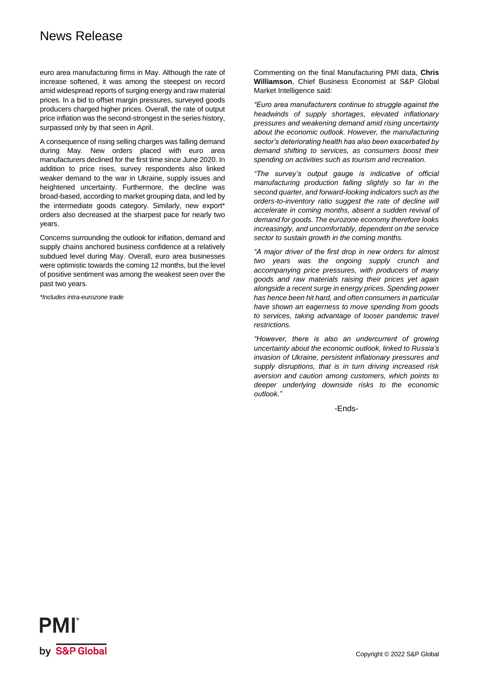## News Release

euro area manufacturing firms in May. Although the rate of increase softened, it was among the steepest on record amid widespread reports of surging energy and raw material prices. In a bid to offset margin pressures, surveyed goods producers charged higher prices. Overall, the rate of output price inflation was the second-strongest in the series history, surpassed only by that seen in April.

A consequence of rising selling charges was falling demand during May. New orders placed with euro area manufacturers declined for the first time since June 2020. In addition to price rises, survey respondents also linked weaker demand to the war in Ukraine, supply issues and heightened uncertainty. Furthermore, the decline was broad-based, according to market grouping data, and led by the intermediate goods category. Similarly, new export\* orders also decreased at the sharpest pace for nearly two years.

Concerns surrounding the outlook for inflation, demand and supply chains anchored business confidence at a relatively subdued level during May. Overall, euro area businesses were optimistic towards the coming 12 months, but the level of positive sentiment was among the weakest seen over the past two years.

*\*Includes intra-eurozone trade*

Commenting on the final Manufacturing PMI data, **Chris Williamson**, Chief Business Economist at S&P Global Market Intelligence said:

*"Euro area manufacturers continue to struggle against the headwinds of supply shortages, elevated inflationary pressures and weakening demand amid rising uncertainty about the economic outlook. However, the manufacturing sector's deteriorating health has also been exacerbated by demand shifting to services, as consumers boost their spending on activities such as tourism and recreation.*

*"The survey's output gauge is indicative of official manufacturing production falling slightly so far in the second quarter, and forward-looking indicators such as the orders-to-inventory ratio suggest the rate of decline will accelerate in coming months, absent a sudden revival of demand for goods. The eurozone economy therefore looks increasingly, and uncomfortably, dependent on the service sector to sustain growth in the coming months.* 

*"A major driver of the first drop in new orders for almost two years was the ongoing supply crunch and accompanying price pressures, with producers of many goods and raw materials raising their prices yet again alongside a recent surge in energy prices. Spending power has hence been hit hard, and often consumers in particular have shown an eagerness to move spending from goods to services, taking advantage of looser pandemic travel restrictions.* 

*"However, there is also an undercurrent of growing uncertainty about the economic outlook, linked to Russia's invasion of Ukraine, persistent inflationary pressures and supply disruptions, that is in turn driving increased risk aversion and caution among customers, which points to deeper underlying downside risks to the economic outlook."* 

-Ends-